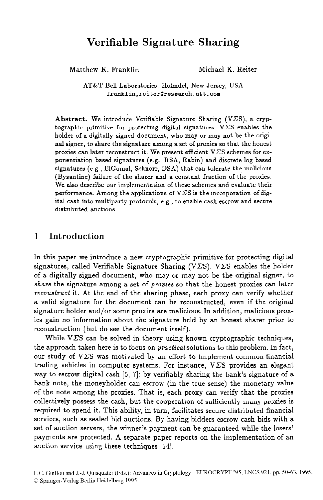# **Verifiable Signature Sharing**

Matthew K. Franklin Michael K. Reiter

**AT&T** Bell Laboratories, Holmdel, New Jersey, **USA franklin.reiter0research.att.com** 

Abstract. We introduce Verifiable Signature Sharing  $(VES)$ , a cryptographic primitive for protecting digital signatures.  $V\mathcal{L}S$  enables the holder of a digitally signed document, who may or may not be the original signer, to share the signature among a set of proxies so that the honest proxies can later reconstruct it. We present efficient V $\Sigma$ S schemes for exponentiation based signatures (e.g., **RSA,** Rabin) and discrete log based signatures (e.g., ElGamal, Schnorr, **DSA)** that can tolerate the malicious (Byzantine) failure of the sharer and a constant fraction of the proxies. **We** also describe our implementation of these schemes and evaluate their performance. Among the applications of V $\Sigma$ S is the incorporation of digital cash into multiparty protocols, e.g., to enable cash escrow and secure distributed auctions.

# **1 Introduction**

In this paper we introduce a new cryptographic primitive for protecting digital signatures, called Verifiable Signature Sharing (V*E*S). V*ES* enables the holder of a digitally signed document, who may or may not be the original signer, to share the signature among a set of *prozies* so that the honest proxies can later reconstruct it. At the end of the sharing phase, each proxy can verify whether a valid signature for the document can be reconstructed, even if the original signature holder and/or some proxies are malicious. In addition, malicious proxies gain no information about the signature held by an honest sharer prior to reconstruction (but do see the document itself).

While V $\Sigma$ S can be solved in theory using known cryptographic techniques, the approach taken here is to focus on practicalsolutions to this problem. In fact, our study of  $V\Sigma S$  was motivated by an effort to implement common financial trading vehicles in computer systems. For instance,  $V\mathcal{L}S$  provides an elegant way to escrow digital cash  $[5, 7]$ : by verifiably sharing the bank's signature of a bank note, the moneyholder can escrow (in the true sense) the monetary value of the note among the proxies. That is, each proxy can verify that the proxies collectively possess the cash, but the cooperation of sufficiently many proxies is required to spend it. This ability, in turn, facilitates secure distributed financial services, such as sealed-bid auctions. By having bidders escrow cash bids with a set of auction servers, the winner's payment can be guaranteed while the losers' payments are protected. **A** separate paper reports on the implementation of an auction service using these techniques **[14].**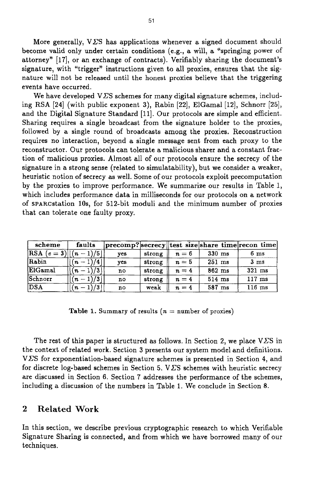More generally,  $V\Sigma S$  has applications whenever a signed document should become valid only under certain conditions (e.g., a will, a "springing power of attorney" [17], or an exchange of contracts). Verifiably sharing the document's signature, with "trigger" instructions given to all proxies, ensures that the signature will not be released until the honest proxies believe that the triggering events have occurred.

We have developed V $\Sigma$ S schemes for many digital signature schemes, including **RSA** [24] (with public exponent **3),** Rabin [22], ElGamal [12], Schnorr [25], and the Digital Signature Standard [11]. Our protocols are simple and efficient. Sharing requires a single broadcast from the signature holder to the proxies, followed by a single round of broadcasts among the proxies. Reconstruction requires no interaction, beyond a single message sent from each proxy to the reconstructor. Our protocols can tolerate a malicious sharer and a constant fraction of malicious proxies. Almost all of our protocols ensure the secrecy of the signature in a strong sense (related to simulatability), but we consider a weaker, heuristic notion of secrecy as well. Some of our protocols exploit precomputation by the proxies to improve performance. We summarize our results in Table 1, which includes performance data in milliseconds for our protocols on a network of SPARCstation 10s, for 512-bit moduli and the minimum number of proxies that can tolerate one faulty proxy.

| scheme                                   | faults               |     |        |       |          | precomp? secrecy  test size share time recon time |
|------------------------------------------|----------------------|-----|--------|-------|----------|---------------------------------------------------|
| $\left {\rm RSA}\right.\left(e=3\right)$ | )/5 <br>'n           | yes | strong | $n=6$ | $330$ ms | 6 <sub>ms</sub>                                   |
| Rabin                                    | 14 (<br>$\mathbf{a}$ | ves | strong | $n=5$ | $251$ ms | 3 <sub>ms</sub>                                   |
| ElGamal                                  | /3<br>l n            | no  | strong | $n=4$ | $862$ ms | $321$ ms                                          |
| Schnorr                                  | /3<br>$(n -$         | no  | strong | $n=4$ | 514 ms   | $117$ ms                                          |
| DSA                                      | /3<br>(2)            | no  | weak   | $n=4$ | 587 ms   | $116$ ms                                          |

**Table 1.** Summary of results  $(n = number of prices)$ 

The rest of this paper is structured as follows. In Section 2, we place  $V\overline{\Sigma}S$  in the context of related work. Section **3** presents our system model and definitions. **VES** for exponentiation-based signature schemes is presented in Section **4,** and for discrete log-based schemes in Section 5.  $V\Sigma S$  schemes with heuristic secrecy are discussed in Section **6.** Section 7 addresses the performance of the schemes, including a discussion of the numbers in Table 1. We conclude in Section 8.

### **2 Related Work**

In this section, we describe previous cryptographic research to which Verifiable Signature Sharing is connected, and from which we have borrowed many of our techniques.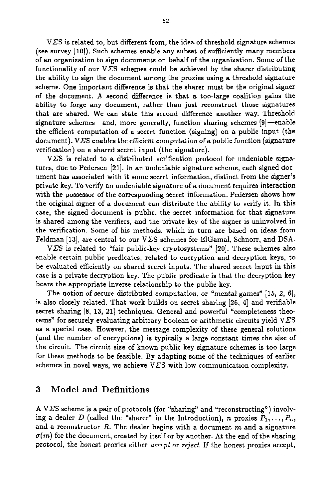VES is related to, but different from, the idea of threshold signature schemes (see survey [lo]). Such schemes enable any subset of sufficiently many members of an organization to sign documents **on** behalf of the organization. Some of the functionality of our  $V\bar{Z}S$  schemes could be achieved by the sharer distributing the ability to sign the document among the proxies using a threshold signature scheme. One important difference is that the sharer must be the original signer of the document. **A** second difference is that **a** too-large coalition gains the ability to forge any document, rather than just reconstruct those signatures that are shared. We can state this second difference another way. Threshold signature schemes-and, more generally, function sharing schemes [9]-enable the efficient computation of a secret function (signing) **on** a public input (the document). VCS enables the efficient computation of *a* public function (signature verification) on **a** shared secret input (the signature).

**VES** is related to a distributed verification protocol for undeniable signatures, due to Pedersen [21]. In an undeniable signature scheme, each signed document has associated with it some secret information, distinct from the signer's private key. To verify an undeniable signature of **a** document requires interaction with the possessor of the corresponding secret information. Pedersen shows how the original signer of a document can distribute the ability to verify it. In this case, the signed document is public, the secret information for that signature is shared among the verifiers, and the private key of the signer is uninvolved in the verification. Some of his methods, which in turn are based on ideas from Feldman [13], are central to our V*ES* schemes for ElGamal, Schnorr, and DSA.

V $\Sigma$ S is related to "fair public-key cryptosystems" [20]. These schemes also enable certain public predicates, related to encryption and decryption keys, to be evaluated efficiently on shared secret inputs. The shared secret input in this case is a private decryption key. The public predicate is that the decryption key bears the appropriate inverse relationship to the public key.

The notion of secure distributed computation, *or* "mental games" **[15,** 2, 61, is also closely related. That work builds on secret sharing [26, 41 and verifiable secret sharing  $[8, 13, 21]$  techniques. General and powerful "completeness theorems" for securely evaluating arbitrary boolean or arithmetic circuits yield  $V\overline{\Sigma}S$ as a special case. However, the message complexity of these general solutions (and the number of encryptions) is typically a large constant times the **size** of the circuit. The circuit size of known public-key signature schemes is too large for these methods to be feasible. By adapting some of the techniques of earlier schemes in novel ways, we achieve  $V\Sigma S$  with low communication complexity.

# **3 Model and Definitions**

**A** VES scheme **is** a pair of protocols (for "sharing" and "reconstructing") involving a dealer *D* (called the "sharer" in the Introduction), *n* proxies  $P_1, \ldots, P_n$ , and a reconstructor *R.* The dealer begins with a document m and **a** signature  $\sigma(m)$  for the document, created by itself or by another. At the end of the sharing protocol, the honest proxies either *accept* or *Teject.* If the honest proxies accept,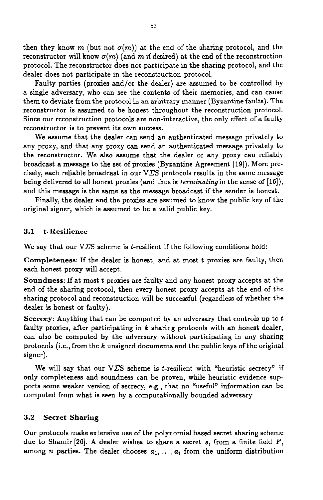then they know *m* (but not  $\sigma(m)$ ) at the end of the sharing protocol, and the reconstructor will know  $\sigma(m)$  (and  $m$  if desired) at the end of the reconstruction protocol. The reconstructor does not participate in the sharing protocol, and the dealer does not participate in the reconstruction protocol.

Faulty parties (proxies and/or the dealer) are assumed to be controlled by a single adversary, who can see the contents of their memories, and can cause them to deviate from the protocol in an arbitrary manner (Byzantine faults). The reconstructor is assumed to be honest throughout the reconstruction protocol. Since **our** reconstruction protocols are non-interactive, the only effect of a faulty reconstructor **is** to prevent its own success.

We assume that the dealer can send an authenticated message privately to any proxy, and that any proxy can send an authenticated message privately to the reconstructor. We **also** assume that the dealer or any proxy can reliably broadcast a message to the set of proxies (Byzantine Agreement **[19]).** More precisely, each reliable broadcast in our V $\Sigma$ S protocols results in the same message being delivered to all honest proxies (and thus is *terminating* in the sense of [16]), and this message is the same as the message broadcast if the sender is honest.

Finally, the dealer and the proxies are assumed to know the public key of the original signer, which is assumed to be a valid public key.

### **3.1 t- Resilience**

We say that our V*ES* scheme is *t*-resilient if the following conditions hold:

**Completeness:** If the dealer is honest, and at most *t* proxies are faulty, then each honest proxy will accept.

**Soundness:** If at most *t* proxies are faulty and any honest proxy accepts at the end of the sharing protocol, then every honest proxy accepts at the end of the sharing protocol and reconstruction will be successful (regardless of whether the dealer is honest or faulty).

**Secrecy:** Anything that can be computed by an adversary that controls up to *t*  faulty proxies, after participating in *k* sharing protocols with an honest dealer, can **also** be computed by the adversary without participating in any sharing protocols (i.e., from the *k* unsigned documents and the public keys of the original signer).

We will say that our V*ES* scheme is *t*-resilient with "heuristic secrecy" if only completeness and soundness can be proven, while heuristic evidence supports some weaker version of secrecy, e.g., that **no** "useful" information **can** be computed from what is seen by a computationally bounded adversary.

### **3.2 Secret Sharing**

Our protocols make extensive use of the polynomial based secret sharing scheme due to Shamir **[26]. A** dealer wishes to share *a* secret **s,** from a finite field *F,*  among *n* parties. The dealer chooses  $a_1, \ldots, a_t$  from the uniform distribution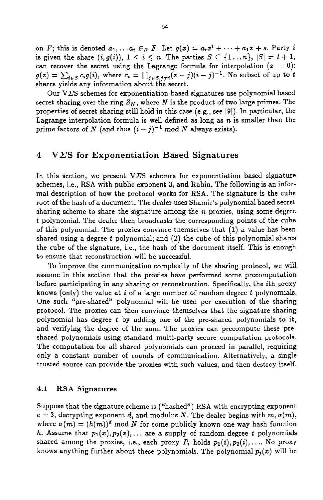on *F*; this is denoted  $a_1, \ldots, a_t \in_R F$ . Let  $g(x) = a_t x^t + \cdots + a_1 x + s$ . Party *i* is given the share  $(i, g(i))$ ,  $1 \leq i \leq n$ . The parties  $S \subseteq \{1...n\}$ ,  $|S| = t + 1$ , can recover the secret using the Lagrange formula for interpolation  $(z = 0)$ : can recover the secret using the Lagrange formula for interpolation  $(z = 0)$ :<br> $g(z) = \sum_{i \in S} c_i g(i)$ , where  $c_i = \prod_{j \in S, j \neq i} (z - j)(i - j)^{-1}$ . No subset of up to *t* shares yields any information about the secret.

Our V $\Sigma$ S schemes for exponentiation based signatures use polynomial based secret sharing over the ring  $Z_N$ , where N is the product of two large primes. The properties of secret sharing still hold in this case (e.g., see **[9]).** In particular, the Lagrange interpolation formula is well-defined as long as *n* is smaller than the prime factors of *N* (and thus  $(i - j)^{-1}$  mod *N* always exists).

### **4 VES for Exponentiation Based Signatures**

In this section, we present V $\Sigma$ S schemes for exponentiation based signature schemes, i.e., RSA with public exponent **3,** and Rabin. The following is an informal description of how the protocol works for RSA. The signature is the cube root of the hash of a document. The dealer uses Shamir's polynomial based secret sharing scheme to share the signature among the *n* proxies, using some degree *t* polynomial. The dealer then broadcasts the corresponding points of the cube of this polynomial. The proxies convince themselves that (1) a value has been shared using a degree *t* polynomial; and (2) the cube of this polynomial shares the cube of the signature, i.e., the hash of the document itself. This is enough to ensure that reconstruction will be successful.

To improve the communication complexity of the sharing protocol, we will assume in this section that the proxies have performed some precomputation before participating in any sharing or reconstruction. Specifically, the ith proxy knows (only) the value at *i* of a large number of random degree *t* polynomials. One such "pre-shared" polynomial will be used per execution of the sharing protocol. The proxies can then convince themselves that the signature-sharing polynomial has degree *t* by adding one of the pre-shared polynomials to it, and verifying the degree of the sum. The proxies can precompute these preshared polynomials using standard multi-party secure computation protocols. The computation for all shared polynomials can proceed in parallel, requiring only a constant number of rounds of communication. Alternatively, a single trusted source can provide the proxies with such values, and then destroy itself.

### **4.1 RSA Signatures**

Suppose that the signature scheme is ("hashed") RSA with encrypting exponent  $e = 3$ , decrypting exponent *d*, and modulus *N*. The dealer begins with  $m, \sigma(m)$ , where  $\sigma(m) = (h(m))^d$  mod *N* for some publicly known one-way hash function *h.* Assume that  $p_1(x), p_2(x), \ldots$  are a supply of random degree *t* polynomials shared among the proxies, i.e., each proxy  $P_i$  holds  $p_1(i), p_2(i), \ldots$  No proxy knows anything further about these polynomials. The polynomial  $p_j(x)$  will be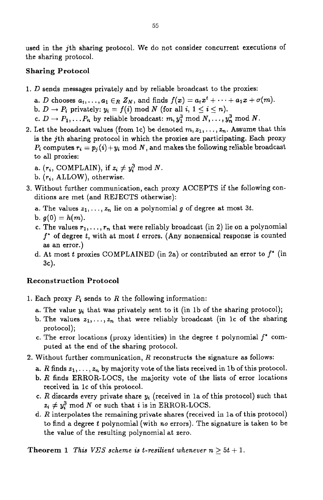used in the jth sharing protocol. We do not consider concurrent executions of the sharing protocol.

# **Sharing Protocol**

- 1. D sends messages privately and by reliable broadcast to the proxies:
	- a. *D* chooses  $a_t$ ,...,  $a_1 \in R Z_N$ , and finds  $f(x) = a_t x^t + \cdots + a_1 x + \sigma(m)$ .
	- b.  $D \rightarrow P_i$  privately:  $y_i = f(i) \text{ mod } N$  (for all  $i, 1 \leq i \leq n$ ).
	- c.  $D \rightarrow P_1, \ldots, P_n$  by reliable broadcast:  $m, y_1^3 \text{ mod } N, \ldots, y_n^3 \text{ mod } N$ .
- 2. Let the broadcast values (from 1c) be denoted  $m, z_1, \ldots, z_n$ . Assume that this is the jth sharing protocol in which the proxies are participating. Each proxy  $P_i$  computes  $r_i = p_i(i) + y_i \mod N$ , and makes the following reliable broadcast to all proxies:
	- a.  $(r_i, \text{COMPLAN})$ , if  $z_i \neq y_i^3 \text{ mod } N$ .
	- b. *(T,,* ALLOW), otherwise.
- ditions are met (and REJECTS otherwise): **3.** Without further communication, each proxy **ACCEPTS** if the following con
	- a. The values  $z_1, \ldots, z_n$  lie on a polynomial g of degree at most 3t.
	- b.  $g(0) = h(m)$ .
	- c. The values  $r_1, \ldots, r_n$  that were reliably broadcast (in 2) lie on a polynomial *f'* of degree *t,* with at most *t* errors. (Any nonsensical response is counted as an error.)
	- d. At most *t* proxies COMPLAINED (in 2a) or contributed an error to *f'* (in **3c)** \*

# **Reconstruction Protocol**

- 1. Each proxy  $P_i$  sends to  $R$  the following information:
	- a. The value  $y_i$  that was privately sent to it (in 1b of the sharing protocol);
	- b. The values  $z_1, \ldots, z_n$  that were reliably broadcast (in 1c of the sharing protocol);
	- c. The error locations (proxy identities) in the degree *t* polynomial f' computed at the end of the sharing protocol.
- 2. Without further communication,  $R$  reconstructs the signature as follows:
	- a. *R* finds  $z_1, \ldots, z_n$  by majority vote of the lists received in 1b of this protocol.
	- b.  $R$  finds ERROR-LOCS, the majority vote of the lists of error locations received in lc of this protocol.
	- c. *R* discards every private share **y,** (received in la of this protocol) such that  $z_i \neq y_i^3$  mod *N* or such that *i* is in ERROR-LOCS.
	- d. *R* interpolates the remaining private shares (received in la of this protocol) to find a degree *t* polynomial (with *no* errors). The signature is taken to be the value of the resulting polynomial at zero.

**Theorem 1** *This VES scheme is t-resilient whenever*  $n \geq 5t + 1$ .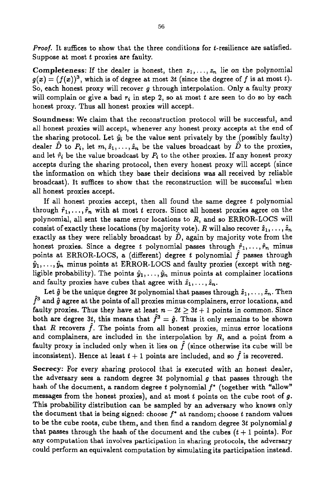*Proof.* It suffices to show that the three conditions for t-resilience are satisfied. Suppose at most *t* proxies are faulty.

**Completeness:** If the dealer is honest, then  $z_1, \ldots, z_n$  lie on the polynomial  $g(x) = (f(x))^3$ , which is of degree at most 3t (since the degree of f is at most t). So, each honest proxy will recover **g** through interpolation. Only a faulty proxy will complain or give a bad  $r_i$  in step 2, so at most  $t$  are seen to do so by each honest proxy. Thus all honest proxies will accept.

**Soundness:** We claim that the reconstruction protocol will be successful, and all honest proxies will accept, whenever any honest proxy accepts at the end of the sharing protocol. Let  $\hat{y}_i$  be the value sent privately by the (possibly faulty) dealer  $\hat{D}$  to  $P_i$ , let  $m, \hat{z}_1, \ldots, \hat{z}_n$  be the values broadcast by  $\hat{D}$  to the proxies, and let  $\hat{r}_i$  be the value broadcast by  $P_i$  to the other proxies. If any honest proxy accepts during the sharing protocol, then every honest proxy will accept (since the information on which they base their decisions was all received by reliable broadcast). It suffices to show that the reconstruction will be successful when all honest proxies accept.

If all honest proxies accept, then all found the same degree *t* polynomial through  $\hat{r}_1, \ldots, \hat{r}_n$  with at most *t* errors. Since all honest proxies agree on the polynomial, all sent the same error locations to  $R$ , and so ERROR-LOCS will consist of exactly these locations (by majority vote). R will also recover  $\hat{z}_1, \ldots, \hat{z}_n$ exactly as they were reliably broadcast by  $\ddot{D}$ , again by majority vote from the honest proxies. Since a degree *t* polynomial passes through  $\hat{r}_1, \ldots, \hat{r}_n$  minus points at ERROR-LOCS, a (different) degree  $t$  polynomial  $\tilde{f}$  passes through  $\hat{y}_1, \ldots, \hat{y}_n$  minus points at ERROR-LOCS and faulty proxies (except with negligible probability). The points  $\hat{y}_1, \ldots, \hat{y}_n$  minus points at complainer locations and faulty proxies have cubes that agree with  $\hat{z}_1, \ldots, \hat{z}_n$ .

Let  $\hat{g}$  be the unique degree 3t polynomial that passes through  $\hat{z}_1, \ldots, \hat{z}_n$ . Then  $\hat{f}^3$  and  $\hat{g}$  agree at the points of all proxies minus complainers, error locations, and faulty proxies. Thus they have at least  $n-2t \geq 3t+1$  points in common. Since both are degree 3t, this means that  $\hat{f}^3 = \hat{g}$ . Thus it only remains to be shown that R recovers  $\hat{f}$ . The points from all honest proxies, minus error locations and complainers, are included in the interpolation by  $R$ , and a point from a faulty proxy is included only when it lies on  $\tilde{f}$  (since otherwise its cube will be inconsistent). Hence at least  $t + 1$  points are included, and so  $\hat{f}$  is recovered.

**Secrecy:** For every sharing protocol that is executed with an honest dealer, the adversary sees a random degree *3t* polynomial *g* that passes through the hash of the document, a random degree *t* polynomial *f'* (together with "allow" messages from the honest proxies), and at most *t* points on the cube root of **g.**  This probability distribution can be sampled by an adversary who knows only the document that is being signed: choose *f* \* at random; choose *t* random values to be the cube roots, cube them, and then find a random degree *3t* polynomial **g**  that passes through the hash of the document and the cubes  $(t + 1 \text{ points})$ . For any computation that involves participation in sharing protocols, the adversary could perform an equivalent computation by simulating its participation instead.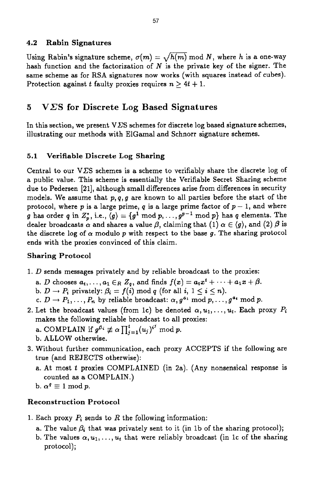### **4.2 Rabin Signatures**

Using Rabin's signature scheme,  $\sigma(m) = \sqrt{h(m)} \text{ mod } N$ , where *h* is a one-way hash function and the factorization of *N* is the private key of the signer. The same scheme as for RSA signatures now works (with squares instead of cubes). Protection against *t* faulty proxies requires  $n \geq 4t + 1$ .

#### *5*  **VCS for Discrete Log Based Signatures**

In this section, we present  $V\Sigma$ S schemes for discrete log based signature schemes, illustrating our methods with ElGamal and Schnorr signature schemes.

### **5.1 Verifiable Discrete Log Sharing**

Central to our VES schemes is a scheme to verifiably share the discrete **log** of a public value. This scheme is essentially the Verifiable Secret Sharing scheme due to Pedersen [21], although small differences arise from differences in security models. We assume that *p,q,g* are known to all parties before the start of the protocol, where  $p$  is a large prime,  $q$  is a large prime factor of  $p-1$ , and where *g* has order *q* in  $Z_p^*$ , i.e.,  $\langle g \rangle = \{g^1 \text{ mod } p, \ldots, g^{p-1} \text{ mod } p\}$  has *q* elements. The dealer broadcasts  $\alpha$  and shares a value  $\beta$ , claiming that (1)  $\alpha \in \langle g \rangle$ , and (2)  $\beta$  is the discrete log of  $\alpha$  modulo  $p$  with respect to the base  $g$ . The sharing protocol ends with the proxies convinced of this claim.

# **Sharing Protocol**

- 1. *D* sends messages privately and by reliable broadcast to the proxies:
	- a. *D* chooses  $a_t, \ldots, a_1 \in R \ Z_q$ , and finds  $f(x) = a_t x^t + \cdots + a_1 x + \beta$ . b.  $D \rightarrow P_i$  privately:  $\beta_i = f(i) \text{ mod } q$  (for all  $i, 1 \leq i \leq n$ ).
	- c.  $D \to P_1, \ldots, P_n$  by reliable broadcast:  $\alpha, g^{a_1} \mod p, \ldots, g^{a_n} \mod p$ .
- makes the following reliable broadcast to all proxies: a. COMPLAIN if  $g^{\beta_i} \not\equiv \alpha \prod_{j=1}^t (u_j)^{i^j} \mod p$ . 2. Let the broadcast values (from 1c) be denoted  $\alpha, u_1, \ldots, u_t$ . Each proxy  $P_i$ 
	- b. ALLOW otherwise.
- **3.** Without further communication, each proxy ACCEPTS if the following are true (and REJECTS otherwise):
	- a. At most *t* proxies COMPLAINED (in 2a). **(Any** nonsensical response is counted **as** a COMPLAIN.)
	- b.  $\alpha^q \equiv 1 \mod p$ .

### **Reconstruction Protocol**

- 1. Each proxy *P,* sends to *R* the following information:
	- a. The value  $\beta_i$  that was privately sent to it (in 1b of the sharing protocol);
	- b. The values  $\alpha, u_1, \ldots, u_t$  that were reliably broadcast (in 1c of the sharing protocol);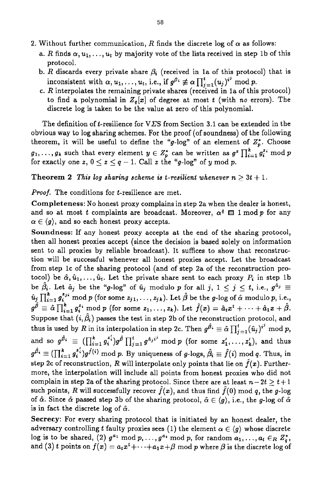- 2. Without further communication, R finds the discrete log of  $\alpha$  as follows:
	- a. R finds  $\alpha, u_1, \ldots, u_t$  by majority vote of the lists received in step 1b of this protocol.
	- b. *R* discards every private share  $\beta_i$  (received in 1a of this protocol) that is inconsistent with  $\alpha, u_1, \ldots, u_t$ , i.e., if  $g^{\beta_i} \not\equiv \alpha \prod_{i=1}^t (u_j)^{i^j} \mod p$ .
	- c.  $R$  interpolates the remaining private shares (received in 1a of this protocol) to find a polynomial in  $Z_q[x]$  of degree at most *t* (with *no* errors). The discrete log is taken to be the value at zero of this polynomial.

The definition of t-resilience for V*E*S from Section 3.1 can be extended in the obvious way to log sharing schemes. For the proof (of soundness) of the following theorem, it will be useful to define the "g-log" of an element of  $Z_p^*$ . Choose **g**<sub>1</sub>,...,  $g_k$  such that every element  $y \in Z_p^*$  can be written as  $g^z \prod_{i=1}^k g_i^{z_i} \mod p$  $g_1, \ldots, g_k$  such that every element  $y \in Z_p^*$  can be written as  $g^z \prod_{i=1}^k f_i$  for exactly one  $z, 0 \leq z \leq q-1$ . Call z the "g-log" of y mod p.

**Theorem 2** *This log sharing scheme is t-resilient whenever*  $n > 3t + 1$ *.* 

*Proof.* The conditions for t-resilience are met.

**Completeness:** No honest proxy complains in step 2a when the dealer is honest, and so at most *t* complaints are broadcast. Moreover,  $\alpha^q \equiv 1 \mod p$  for any  $\alpha \in \langle g \rangle$ , and so each honest proxy accepts.

**Soundness:** If any honest proxy accepts at the end of the sharing protocol, then all honest proxies accept (since the decision is based solely on information sent to all proxies by reliable broadcast). It suffices to show that reconstruction will be successful whenever all honest proxies accept. Let the broadcast from step Ic of the sharing protocol (and of step 2a of the reconstruction protocol) be  $\hat{\alpha}, \hat{u}_1, \ldots, \hat{u}_t$ . Let the private share sent to each proxy  $P_i$  in step 1b be  $\hat{\beta}_i$ . Let  $\hat{a}_j$  be the "g-log" of  $\hat{u}_j$  modulo p for all j,  $1 \leq j \leq t$ , i.e.,  $g^{\hat{a}_j} \equiv$  $\hat{u}_j \prod_{i=1}^k g_i^{z_{ji}}$  mod *p* (for some  $z_{j1}, \ldots, z_{jk}$ ). Let  $\hat{\beta}$  be the g-log of  $\hat{\alpha}$  modulo *p*, i.e.,  $g^{\hat{\beta}} \equiv \hat{\alpha} \prod_{i=1}^{k} g_i^{z_i} \text{ mod } p \text{ (for some } z_1, \ldots, z_k).$  Let  $\hat{f}(x) = \hat{a}_t x^t + \cdots + \hat{a}_1 x + \hat{\beta}.$ Suppose that  $(i, \hat{\beta}_i)$  passes the test in step 2b of the reconstruction protocol, and thus is used by R in its interpolation in step 2c. Then  $g^{\hat{\beta}} \equiv \hat{\alpha} \prod_{i=1}^{t}(\hat{u}_i)^{i'}$  mod p, and so  $g^{\hat{\beta}_i} \equiv \left( \prod_{i=1}^k g_i^{z_i'} \right) g^{\hat{\beta}} \prod_{j=1}^t g^{\hat{a}_j i^j} \mod p$  (for some  $z_1', \ldots, z_k'$ ), and thus step 2c of reconstruction, R will interpolate only points that lie on  $\hat{f}(x)$ . Furthermore, the interpolation will include all points from honest proxies who did not complain in step 2a of the sharing protocol. Since there are at least  $n-2t \geq t+1$ such points, R will successfully recover  $\hat{f}(x)$ , and thus find  $\hat{f}(0)$  mod q, the g-log of  $\hat{\alpha}$ . Since  $\hat{\alpha}$  passed step 3b of the sharing protocol,  $\hat{\alpha} \in \langle g \rangle$ , i.e., the g-log of  $\hat{\alpha}$ is in fact the discrete log of  $\hat{\alpha}$ .  $g^{\hat{\beta_i}} \equiv (\prod_{i=1}^k g_i^{z_i'})g^{\hat{f}(i)}$  mod *p*. By uniqueness of *g*-logs,  $\hat{\beta_i} \equiv \hat{f}(i)$  mod *q*. Thus, in

**Secrecy:** For every sharing protocol that is initiated by an honest dealer, the adversary controlling *t* faulty proxies sees (1) the element  $\alpha \in \langle g \rangle$  whose discrete log is to be shared, (2)  $g^{a_1} \mod p, \ldots, g^{a_t} \mod p$ , for random  $a_1, \ldots, a_t \in_R Z_q^*$ , and (3) *t* points on  $f(x) = a_t x^t + \cdots + a_1 x + \beta$  mod *p* where  $\beta$  is the discrete log of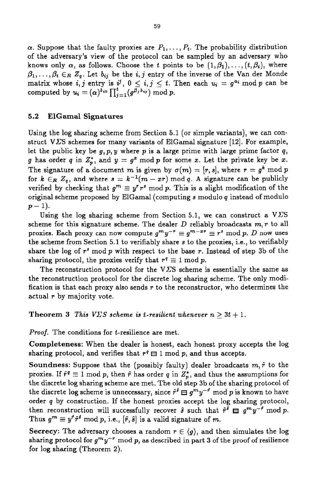$\alpha$ . Suppose that the faulty proxies are  $P_1, \ldots, P_t$ . The probability distribution of the adversary's view of the protocol can be sampled by an adversary who knows only  $\alpha$ , as follows. Choose the t points to be  $(1,\beta_1), \ldots, (t,\beta_t)$ , where  $\beta_1, \ldots, \beta_t \in_R Z_q$ . Let  $b_{ij}$  be the *i*, *j* entry of the inverse of the Van der Monde matrix whose *i, j* entry is  $i^j$ ,  $0 \le i, j \le t$ . Then each  $u_i = g^{a_i} \mod p$  can be computed by  $u_i = (\alpha)^{b_{i0}} \prod_{i=1}^{t} (g^{\beta_j b_{ij}}) \mod p$ .

### **5.2 ElGamal Signatures**

Using the log sharing scheme from Section 5.1 (or simple variants), we can construct **VES** schemes for many variants of ElGamal signature [12]. For example, let the public key be *g,p,* **y** where p is a large prime with large prime factor *q,*  **g** has order **q** in  $Z_p^*$ , and  $y = g^x \mod p$  for some *x*. Let the private key be *x*. The signature of a document m is given by  $\sigma(m) = [r, s]$ , where  $r = g^k \mod p$ for  $k \in R$   $Z_q$ , and where  $s = k^{-1}(m - xr) \mod q$ . A signature can be publicly verified by checking that  $g^m \equiv y^r r^s \mod p$ . This is a slight modification of the original scheme proposed by ElGamal (computing **s** modulo *q* instead of modulo  $p-1$ ).

Using the log sharing scheme from Section 5.1, we can construct a  $V\overline{\Sigma}S$ scheme for this signature scheme. The dealer *D* reliably broadcasts *m,r* to all proxies. Each proxy can now compute  $g^m y^{-r} \equiv g^{m-xr} \equiv r^s \bmod p$ . D now uses the scheme from Section 5.1 to verifiably share **s** to the proxies, i.e., to verifiably share the log of *r'* modp with respect to the base *r.* Instead of step 3b of the sharing protocol, the proxies verify that  $r^q \equiv 1 \mod p$ .

The reconstruction protocol for the  $V\bar{Z}S$  scheme is essentially the same as the reconstruction protocol for the discrete log sharing scheme. The only modification **is** that each proxy also sends *r* to the reconstructor, who determines the actual *r* by majority vote.

**Theorem 3** This  $V\Sigma S$  scheme is *t*-resilient whenever  $n \geq 3t + 1$ .

*Proof.* The conditions for t-resilience are met.

**Completeness:** When the dealer is honest, each honest proxy accepts the log sharing protocol, and verifies that  $r^q \boxminus 1 \mod p$ , and thus accepts.

**Soundness:** Suppose that the (possibly faulty) dealer broadcasts  $m, \hat{r}$  to the proxies. If  $\hat{r}^q \equiv 1 \mod p$ , then  $\hat{r}$  has order *q* in  $Z_p^*$ , and thus the assumptions for the discrete log sharing scheme are met. The old step 3b of the sharing protocol of the discrete log scheme is unnecessary, since  $\hat{r}^i \boxminus g^m y^{-\hat{r}}$  mod p is known to have order *q* by construction. If the honest proxies accept the log sharing protocol, then reconstruction will successfully recover  $\hat{s}$  such that  $\hat{r}^{\hat{s}} \equiv g^m y^{-\hat{r}}$  mod p. Thus  $g^m \equiv y^{\hat{r}} \hat{r}^{\hat{s}}$  mod p, i.e.,  $[\hat{r}, \hat{s}]$  is a valid signature of m.

**Secrecy:** The adversary chooses a random  $r \in \langle g \rangle$ , and then simulates the log sharing protocol for  $g^m y^{-r}$  mod p, as described in part 3 of the proof of resilience for log sharing (Theorem 2).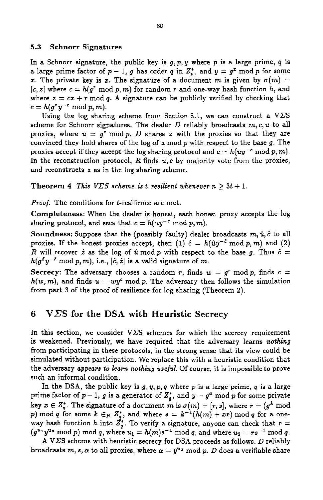### **5.3 Schnorr Signatures**

In a Schnorr signature, the public key is *g,p,y* where *p* is a large prime, *4* **is**  a large prime factor of  $p-1$ ,  $q$  has order  $q$  in  $Z_p^*$ , and  $y = g^2$  mod  $p$  for some x. The private key is x. The signature of a document m is given by  $\sigma(m) =$  $[c, z]$  where  $c = h(g^r \mod p, m)$  for random  $r$  and one-way hash function  $h$ , and where  $z = cx + r \mod q$ . A signature can be publicly verified by checking that  $c = h(g^zy^{-c} \mod p, m).$ 

Using the log sharing scheme from Section 5.1, we can construct a  $V\overline{\Sigma}S$ scheme for Schnorr signatures. The dealer D reliably broadcasts *m, c, u* to all proxies, where  $u = g^z \mod p$ . *D* shares z with the proxies so that they are convinced they hold shares of the log of *u* mod p with respect to the base *g.* The proxies accept if they accept the log sharing protocol and  $c = h(uy^{-c} \mod p, m)$ . In the reconstruction protocol, *R* finds *u,c* by majority vote from the proxies, and reconstructs **z** as in the log sharing scheme.

**Theorem 4 This V** $\sum$ **S scheme is** *t***-resilient whenever**  $n \geq 3t + 1$ **.** 

*Proof.* The conditions for t-resilience are met.

**Completeness:** When the dealer is honest, each honest proxy accepts the log sharing protocol, and sees that  $c = h(uy^{-c} \mod p, m)$ .

**Soundness:** Suppose that the (possibly faulty) dealer broadcasts  $m, \hat{u}, \hat{c}$  to all proxies. If the honest proxies accept, then (1)  $\hat{c} = h(\hat{u}y^{-\hat{c}} \mod p, m)$  and (2) *R* will recover  $\hat{z}$  as the log of  $\hat{u}$  mod  $p$  with respect to the base g. Thus  $\hat{c}$  =  $h(g^2y^{-\hat{c}} \mod p, m)$ , i.e.,  $[\hat{c}, \hat{z}]$  is a valid signature of *m*.

**Secrecy:** The adversary chooses a random *r*, finds  $w = q^r \mod p$ , finds  $c =$  $h(w, m)$ , and finds  $u = wy^c \mod p$ . The adversary then follows the simulation from part **3** of the proof of resilience for log sharing (Theorem 2).

# **6 VES for the DSA with Heuristic Secrecy**

In this section, we consider  $V\Sigma S$  schemes for which the secrecy requirement is weakened. Previously, we have required that the adversary learns nothing from participating in these protocols, in the strong sense that its view could be simulated without participation. We replace this with a heuristic condition that the adversary appears *to* learn nothing *useful.* Of course, it is impossible to prove such an informal condition.

In the **DSA,** the public key **is** *g,* y, p, *q* where p is **a** large prime, *q* is **a** large prime factor of  $p-1$ ,  $g$  is a generator of  $Z_q^*$ , and  $y = g^x \mod p$  for some private key  $x \in Z_q^*$ . The signature of a document *m* is  $\sigma(m) = [r, s]$ , where  $r = (g^k \text{ mod } 2)$ p) mod *q* for some  $k \in_R Z_q^*$ , and where  $s = k^{-1}(h(m) + xr) \mod q$  for a oneway hash function *h* into  $Z_q^*$ . To verify a signature, anyone can check that  $r =$  $(g^{u_1}y^{u_2} \bmod p)$  mod *q*, where  $u_1 = h(m)s^{-1} \bmod q$ , and where  $u_2 = rs^{-1} \bmod q$ .

**A** VES scheme with heuristic secrecy for **DSA** proceeds as follows. *D* reliably broadcasts  $m, s, \alpha$  to all proxies, where  $\alpha = y^{u_2} \mod p$ . *D* does a verifiable share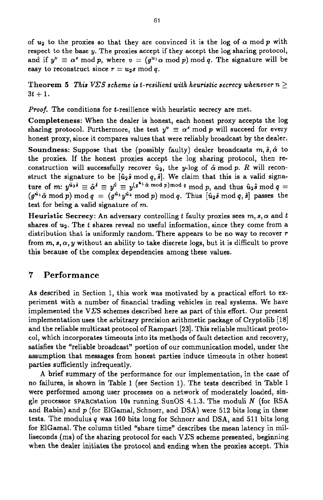of  $u_2$  to the proxies so that they are convinced it is the log of  $\alpha$  mod  $p$  with respect to the base **y.** The proxies accept if they accept the log sharing protocol, and if  $y^u \equiv \alpha^s \mod p$ , where  $v = (g^{u_1} \alpha \mod p) \mod q$ . The signature will be easy to reconstruct since  $r = u_2 s \mod q$ .

**Theorem 5** This  $V\Sigma S$  scheme is t-resilient with heuristic secrecy whenever  $n \geq 1$  $3t + 1$ .

*Proof.* The conditions for t-resilience with heuristic secrecy are met.

**Completeness:** When the dealer is honest, each honest proxy accepts the log sharing protocol. Furthermore, the test  $y'' \equiv \alpha^s \mod p$  will succeed for every honest proxy, since it compares values that were reliably broadcast by the dealer.

**Soundness:** Suppose that the (possibly faulty) dealer broadcasts  $m, \hat{s}, \hat{\alpha}$  to the proxies. If the honest proxies accept the log sharing protocol, then reconstruction will successfully recover  $\hat{u}_2$ , the y-log of  $\hat{\alpha}$  mod p. *R* will reconstruct the signature to be  $[\hat{u}_2 \hat{s} \text{ mod } q, \hat{s}]$ . We claim that this is a valid signature of  $m: y^{\hat{u}_2\hat{s}} \equiv \hat{\alpha}^{\hat{s}} \equiv y^{\hat{y}} \equiv y^{(g^{\hat{u}_1}\hat{\alpha} \mod p) \mod q} \mod p$ , and thus  $\hat{u}_2\hat{s} \mod q = 0$  $(g^{a_1}\hat{\alpha} \mod p) \mod q = (g^{a_1}y^{a_2} \mod p) \mod q$ . Thus  $[\hat{u}_2\hat{s} \mod q, \hat{s}]$  passes the test for being a valid signature of *m.* 

**Heuristic Secrecy:** An adversary controlling t faulty proxies sees  $m, s, \alpha$  and  $t$ shares of  $u_2$ . The *t* shares reveal no useful information, since they come from a distribution that is uniformly random. There appears to be no way to recover  $r$ from  $m, s, \alpha, y$  without an ability to take discrete logs, but it is difficult to prove this because of the complex dependencies among these values.

# **7 Performance**

**As** described in Section 1, this work was motivated by a practical effort to experiment with a number of financial trading vehicles in real systems. We have implemented the **VZS** schemes described here as part of this effort. Our present implementation uses the arbitrary precision arithmetic package of Cryptolib  $[18]$ and the reliable multicast protocol of Rampart [23]. This reliable multicast protocol, which incorporates timeouts into its methods of fault detection and recovery, satisfies the "reliable broadcast" portion of our communication model, under the assumption that messages from honest parties induce timeouts in other honest parties sufficiently infrequently.

A brief summary of the performance for our implementation, in the case of **no** failures, is shown in Table 1 (see Section 1). The tests described in Table 1 were performed among user processes on a network of moderately loaded, single processor SPARCstation **10s** running SunOS 4.1.3. The moduli *N* **(for RSA**  and Rabin) and  $p$  (for ElGamal, Schnorr, and DSA) were 512 bits long in these tests. The modulus *q* was 160 bits long for Schnorr and DSA, and 511 bits long for ElGamal. The column titled "share time" describes the mean latency in milliseconds (ms) of the sharing protocol for each  $V\overline{\Sigma}S$  scheme presented, beginning when the dealer initiates the protocol and ending when the proxies accept. **This**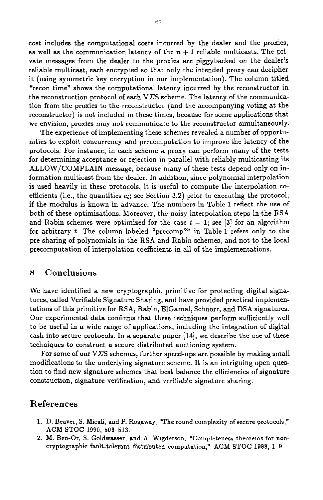cost includes the computational costs incurred by the dealer and the proxies, as well as the communication latency of the  $n + 1$  reliable multicasts. The private messages from the dealer to the proxies are piggybacked on the dealer's reliable multicast, each encrypted so that only the intended proxy can decipher it **(using** symmetric key encryption in our implementation). The column titled "recon time" shows the computational latency incurred by the reconstructor in the reconstruction protocol of each  $VES$  scheme. The latency of the communication from the proxies to the reconstructor (and the accompanying voting at the reconstructor) is not included in these times, because for some applications that we envision, proxies may not communicate to the reconstructor simultaneously.

The experience of implementing these schemes revealed a number of opportunities to exploit concurrency and precomputation to improve the latency of the protocols. For instance, in each scheme a proxy can perform many of the tests for determining acceptance or rejection in parallel with reliably multicasting its ALLOW/COMPLAIN message, because many of these tests depend only on information multicast from the dealer. In addition, since polynomial interpolation is used heavily in these protocols, it is useful to compute the interpolation coefficients (i.e., the quantities  $c_i$ ; see Section 3.2) prior to executing the protocol, if the modulus is known in advance. The numbers in Table 1 reflect the **use** of both of these optimizations. Moreover, the noisy interpolation steps in the RSA and Rabin schemes were optimized for the case  $t = 1$ ; see [3] for an algorithm for arbitrary *t.* The column labeled "precomp?~' in Table **1** refers only to the pre-sharing of polynomials in the RSA and Rabin schemes, and not to the local precomputation of interpolation coefficients in all of the implementations.

### **8 Conclusions**

We have identified a new cryptographic primitive for protecting digital signatures, called Verifiable Signature Sharing, and have provided practical implementations of this primitive for RSA, Rabin, ElGamal, Schnorr, and **DSA** signatures. Our experimental data confirms that these techniques perform sufficiently well to be useful in a wide range of applications, including the integration of digital cash into secure protocols. In a separate paper **[14],** we describe the use of these techniques to construct a secure distributed auctioning system.

For some of our  $VES$  schemes, further speed-ups are possible by making small modifications to the underlying signature scheme. It is an intriguing open question to find new signature schemes that best balance the efficiencies of signature construction, signature verification, and verifiable signature sharing.

### **References**

- 1. D. Beaver, S. Micali, and P. Rogaway, "The round complexity ofsecure protocols," **ACM** STOC **1990, 503-513.**
- **2. M.** Ben-Or, **S.** Goldwasser, and **A.** Wigderson, "Completeness theorems for **non**cryptographic fault-tolerant distributed computation," **ACM** STOC **1988, 1-9.**